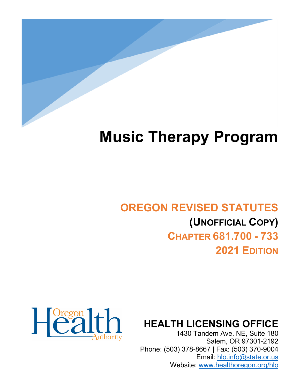

# **Music Therapy Program**

## **OREGON REVISED STATUTES (UNOFFICIAL COPY) CHAPTER 681.700 - 733 2021 EDITION**



**HEALTH LICENSING OFFICE**

1430 Tandem Ave. NE, Suite 180 Salem, OR 97301-2192 Phone: (503) 378-8667 | Fax: (503) 370-9004 Email: [hlo.info@state.or.us](mailto:hlo.info@stae.or.us) Website: [www.healthoregon.org/hlo](http://www.healthoregon.org/hlo)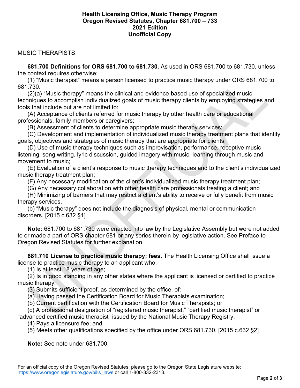#### MUSIC THERAPISTS

 **681.700 Definitions for ORS 681.700 to 681.730.** As used in ORS 681.700 to 681.730, unless the context requires otherwise:

 (1) "Music therapist" means a person licensed to practice music therapy under ORS 681.700 to 681.730.

 (2)(a) "Music therapy" means the clinical and evidence-based use of specialized music techniques to accomplish individualized goals of music therapy clients by employing strategies and tools that include but are not limited to:

 (A) Acceptance of clients referred for music therapy by other health care or educational professionals, family members or caregivers;

(B) Assessment of clients to determine appropriate music therapy services;

 (C) Development and implementation of individualized music therapy treatment plans that identify goals, objectives and strategies of music therapy that are appropriate for clients;

 (D) Use of music therapy techniques such as improvisation, performance, receptive music listening, song writing, lyric discussion, guided imagery with music, learning through music and movement to music;

 (E) Evaluation of a client's response to music therapy techniques and to the client's individualized music therapy treatment plan;

(F) Any necessary modification of the client's individualized music therapy treatment plan;

(G) Any necessary collaboration with other health care professionals treating a client; and

 (H) Minimizing of barriers that may restrict a client's ability to receive or fully benefit from music therapy services.

 (b) "Music therapy" does not include the diagnosis of physical, mental or communication disorders. [2015 c.632 §1]

 **Note:** 681.700 to 681.730 were enacted into law by the Legislative Assembly but were not added to or made a part of ORS chapter 681 or any series therein by legislative action. See Preface to Oregon Revised Statutes for further explanation.

 **681.710 License to practice music therapy; fees.** The Health Licensing Office shall issue a license to practice music therapy to an applicant who:

(1) Is at least 18 years of age;

 (2) Is in good standing in any other states where the applicant is licensed or certified to practice music therapy;

(3) Submits sufficient proof, as determined by the office, of:

(a) Having passed the Certification Board for Music Therapists examination;

(b) Current certification with the Certification Board for Music Therapists; or

(c) A professional designation of "registered music therapist," "certified music therapist" or

"advanced certified music therapist" issued by the National Music Therapy Registry;

(4) Pays a licensure fee; and

(5) Meets other qualifications specified by the office under ORS 681.730. [2015 c.632 §2]

 **Note:** See note under 681.700.